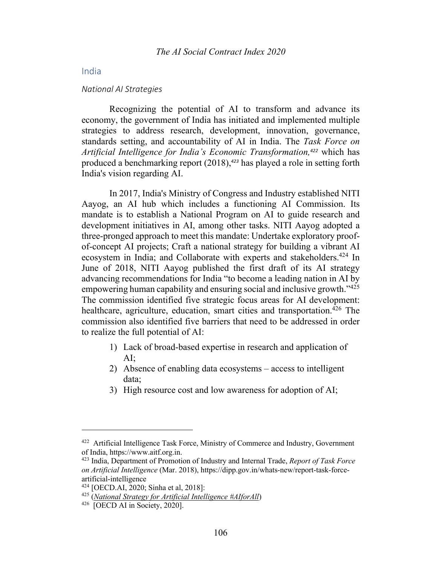# India

#### *National AI Strategies*

Recognizing the potential of AI to transform and advance its economy, the government of India has initiated and implemented multiple strategies to address research, development, innovation, governance, standards setting, and accountability of AI in India. The *Task Force on Artificial Intelligence for India's Economic Transformation,<sup>422</sup>* which has produced a benchmarking report (2018),*<sup>423</sup>* has played a role in setting forth India's vision regarding AI.

In 2017, India's Ministry of Congress and Industry established NITI Aayog, an AI hub which includes a functioning AI Commission. Its mandate is to establish a National Program on AI to guide research and development initiatives in AI, among other tasks. NITI Aayog adopted a three-pronged approach to meet this mandate: Undertake exploratory proofof-concept AI projects; Craft a national strategy for building a vibrant AI ecosystem in India; and Collaborate with experts and stakeholders.<sup>424</sup> In June of 2018, NITI Aayog published the first draft of its AI strategy advancing recommendations for India "to become a leading nation in AI by empowering human capability and ensuring social and inclusive growth."425 The commission identified five strategic focus areas for AI development: healthcare, agriculture, education, smart cities and transportation.<sup>426</sup> The commission also identified five barriers that need to be addressed in order to realize the full potential of AI:

- 1) Lack of broad-based expertise in research and application of AI;
- 2) Absence of enabling data ecosystems access to intelligent data;
- 3) High resource cost and low awareness for adoption of AI;

<sup>&</sup>lt;sup>422</sup> Artificial Intelligence Task Force, Ministry of Commerce and Industry, Government of India, https://www.aitf.org.in.

<sup>423</sup> India, Department of Promotion of Industry and Internal Trade, *Report of Task Force on Artificial Intelligence* (Mar. 2018), https://dipp.gov.in/whats-new/report-task-forceartificial-intelligence

<sup>424</sup> [OECD.AI, 2020; Sinha et al, 2018]:

<sup>425</sup> (*National Strategy for Artificial Intelligence #AIforAll*)

<sup>426 [</sup>OECD AI in Society, 2020].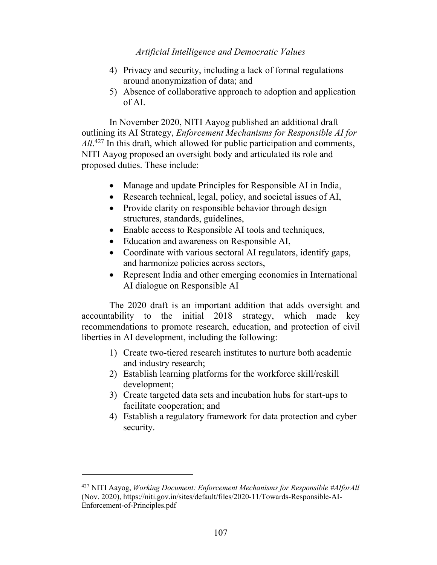- 4) Privacy and security, including a lack of formal regulations around anonymization of data; and
- 5) Absence of collaborative approach to adoption and application of AI.

In November 2020, NITI Aayog published an additional draft outlining its AI Strategy, *Enforcement Mechanisms for Responsible AI for*  All.<sup>427</sup> In this draft, which allowed for public participation and comments, NITI Aayog proposed an oversight body and articulated its role and proposed duties. These include:

- Manage and update Principles for Responsible AI in India,
- Research technical, legal, policy, and societal issues of AI,
- Provide clarity on responsible behavior through design structures, standards, guidelines,
- Enable access to Responsible AI tools and techniques,
- Education and awareness on Responsible AI,
- Coordinate with various sectoral AI regulators, identify gaps, and harmonize policies across sectors,
- Represent India and other emerging economies in International AI dialogue on Responsible AI

The 2020 draft is an important addition that adds oversight and accountability to the initial 2018 strategy, which made key recommendations to promote research, education, and protection of civil liberties in AI development, including the following:

- 1) Create two-tiered research institutes to nurture both academic and industry research;
- 2) Establish learning platforms for the workforce skill/reskill development;
- 3) Create targeted data sets and incubation hubs for start-ups to facilitate cooperation; and
- 4) Establish a regulatory framework for data protection and cyber security.

<sup>427</sup> NITI Aayog, *Working Document: Enforcement Mechanisms for Responsible #AIforAll* (Nov. 2020), https://niti.gov.in/sites/default/files/2020-11/Towards-Responsible-AI-Enforcement-of-Principles.pdf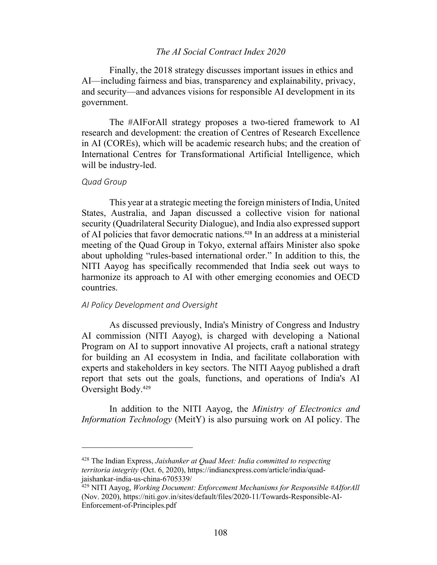# *The AI Social Contract Index 2020*

Finally, the 2018 strategy discusses important issues in ethics and AI—including fairness and bias, transparency and explainability, privacy, and security—and advances visions for responsible AI development in its government.

The #AIForAll strategy proposes a two-tiered framework to AI research and development: the creation of Centres of Research Excellence in AI (COREs), which will be academic research hubs; and the creation of International Centres for Transformational Artificial Intelligence, which will be industry-led.

### *Quad Group*

This year at a strategic meeting the foreign ministers of India, United States, Australia, and Japan discussed a collective vision for national security (Quadrilateral Security Dialogue), and India also expressed support of AI policies that favor democratic nations. <sup>428</sup> In an address at a ministerial meeting of the Quad Group in Tokyo, external affairs Minister also spoke about upholding "rules-based international order." In addition to this, the NITI Aayog has specifically recommended that India seek out ways to harmonize its approach to AI with other emerging economies and OECD countries.

### *AI Policy Development and Oversight*

As discussed previously, India's Ministry of Congress and Industry AI commission (NITI Aayog), is charged with developing a National Program on AI to support innovative AI projects, craft a national strategy for building an AI ecosystem in India, and facilitate collaboration with experts and stakeholders in key sectors. The NITI Aayog published a draft report that sets out the goals, functions, and operations of India's AI Oversight Body.<sup>429</sup>

In addition to the NITI Aayog, the *Ministry of Electronics and Information Technology* (MeitY) is also pursuing work on AI policy. The

<sup>428</sup> The Indian Express, *Jaishanker at Quad Meet: India committed to respecting territoria integrity* (Oct. 6, 2020), https://indianexpress.com/article/india/quadjaishankar-india-us-china-6705339/

<sup>429</sup> NITI Aayog, *Working Document: Enforcement Mechanisms for Responsible #AIforAll* (Nov. 2020), https://niti.gov.in/sites/default/files/2020-11/Towards-Responsible-AI-Enforcement-of-Principles.pdf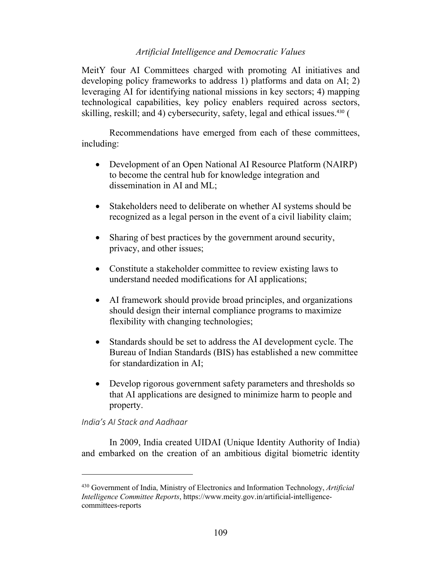MeitY four AI Committees charged with promoting AI initiatives and developing policy frameworks to address 1) platforms and data on AI; 2) leveraging AI for identifying national missions in key sectors; 4) mapping technological capabilities, key policy enablers required across sectors, skilling, reskill; and 4) cybersecurity, safety, legal and ethical issues. <sup>430</sup> (

Recommendations have emerged from each of these committees, including:

- Development of an Open National AI Resource Platform (NAIRP) to become the central hub for knowledge integration and dissemination in AI and ML;
- Stakeholders need to deliberate on whether AI systems should be recognized as a legal person in the event of a civil liability claim;
- Sharing of best practices by the government around security, privacy, and other issues;
- Constitute a stakeholder committee to review existing laws to understand needed modifications for AI applications;
- AI framework should provide broad principles, and organizations should design their internal compliance programs to maximize flexibility with changing technologies;
- Standards should be set to address the AI development cycle. The Bureau of Indian Standards (BIS) has established a new committee for standardization in AI;
- Develop rigorous government safety parameters and thresholds so that AI applications are designed to minimize harm to people and property.

# *India's AI Stack and Aadhaar*

In 2009, India created UIDAI (Unique Identity Authority of India) and embarked on the creation of an ambitious digital biometric identity

<sup>430</sup> Government of India, Ministry of Electronics and Information Technology, *Artificial Intelligence Committee Reports*, https://www.meity.gov.in/artificial-intelligencecommittees-reports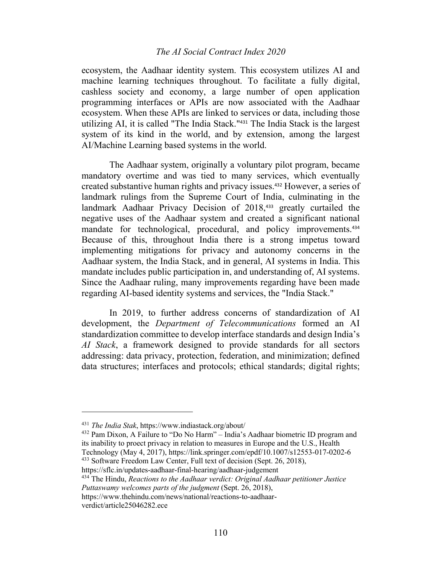# *The AI Social Contract Index 2020*

ecosystem, the Aadhaar identity system. This ecosystem utilizes AI and machine learning techniques throughout. To facilitate a fully digital, cashless society and economy, a large number of open application programming interfaces or APIs are now associated with the Aadhaar ecosystem. When these APIs are linked to services or data, including those utilizing AI, it is called "The India Stack."<sup>431</sup> The India Stack is the largest system of its kind in the world, and by extension, among the largest AI/Machine Learning based systems in the world.

The Aadhaar system, originally a voluntary pilot program, became mandatory overtime and was tied to many services, which eventually created substantive human rights and privacy issues.<sup>432</sup> However, a series of landmark rulings from the Supreme Court of India, culminating in the landmark Aadhaar Privacy Decision of 2018,<sup>433</sup> greatly curtailed the negative uses of the Aadhaar system and created a significant national mandate for technological, procedural, and policy improvements.<sup>434</sup> Because of this, throughout India there is a strong impetus toward implementing mitigations for privacy and autonomy concerns in the Aadhaar system, the India Stack, and in general, AI systems in India. This mandate includes public participation in, and understanding of, AI systems. Since the Aadhaar ruling, many improvements regarding have been made regarding AI-based identity systems and services, the "India Stack."

In 2019, to further address concerns of standardization of AI development, the *Department of Telecommunications* formed an AI standardization committee to develop interface standards and design India's *AI Stack*, a framework designed to provide standards for all sectors addressing: data privacy, protection, federation, and minimization; defined data structures; interfaces and protocols; ethical standards; digital rights;

<sup>431</sup> *The India Stak*, https://www.indiastack.org/about/

<sup>432</sup> Pam Dixon, A Failure to "Do No Harm" – India's Aadhaar biometric ID program and its inability to proect privacy in relation to measures in Europe and the U.S., Health Technology (May 4, 2017), https://link.springer.com/epdf/10.1007/s12553-017-0202-6 <sup>433</sup> Software Freedom Law Center, Full text of decision (Sept. 26, 2018),

https://sflc.in/updates-aadhaar-final-hearing/aadhaar-judgement

<sup>434</sup> The Hindu, *Reactions to the Aadhaar verdict: Original Aadhaar petitioner Justice Puttaswamy welcomes parts of the judgment* (Sept. 26, 2018),

https://www.thehindu.com/news/national/reactions-to-aadhaarverdict/article25046282.ece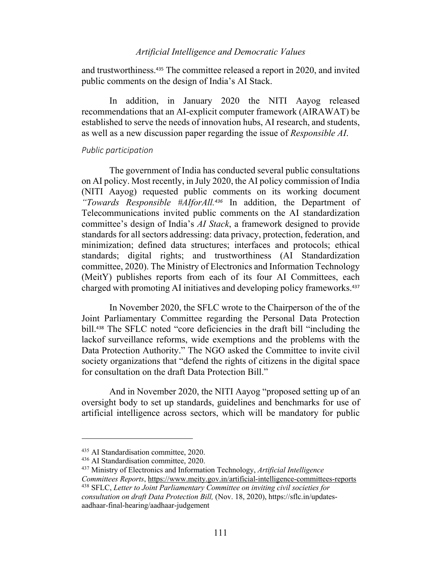and trustworthiness. <sup>435</sup> The committee released a report in 2020, and invited public comments on the design of India's AI Stack.

In addition, in January 2020 the NITI Aayog released recommendations that an AI-explicit computer framework (AIRAWAT) be established to serve the needs of innovation hubs, AI research, and students, as well as a new discussion paper regarding the issue of *Responsible AI*.

#### *Public participation*

The government of India has conducted several public consultations on AI policy. Most recently, in July 2020, the AI policy commission of India (NITI Aayog) requested public comments on its working document *"Towards Responsible #AIforAll. <sup>436</sup>* In addition, the Department of Telecommunications invited public comments on the AI standardization committee's design of India's *AI Stack*, a framework designed to provide standards for all sectors addressing: data privacy, protection, federation, and minimization; defined data structures; interfaces and protocols; ethical standards; digital rights; and trustworthiness (AI Standardization committee, 2020). The Ministry of Electronics and Information Technology (MeitY) publishes reports from each of its four AI Committees, each charged with promoting AI initiatives and developing policy frameworks. 437

In November 2020, the SFLC wrote to the Chairperson of the of the Joint Parliamentary Committee regarding the Personal Data Protection bill.<sup>438</sup> The SFLC noted "core deficiencies in the draft bill "including the lackof surveillance reforms, wide exemptions and the problems with the Data Protection Authority." The NGO asked the Committee to invite civil society organizations that "defend the rights of citizens in the digital space for consultation on the draft Data Protection Bill."

And in November 2020, the NITI Aayog "proposed setting up of an oversight body to set up standards, guidelines and benchmarks for use of artificial intelligence across sectors, which will be mandatory for public

<sup>435</sup> AI Standardisation committee, 2020.

<sup>436</sup> AI Standardisation committee, 2020.

<sup>437</sup> Ministry of Electronics and Information Technology, *Artificial Intelligence* 

*Committees Reports*, https://www.meity.gov.in/artificial-intelligence-committees-reports <sup>438</sup> SFLC, *Letter to Joint Parliamentary Committee on inviting civil societies for* 

*consultation on draft Data Protection Bill,* (Nov. 18, 2020), https://sflc.in/updatesaadhaar-final-hearing/aadhaar-judgement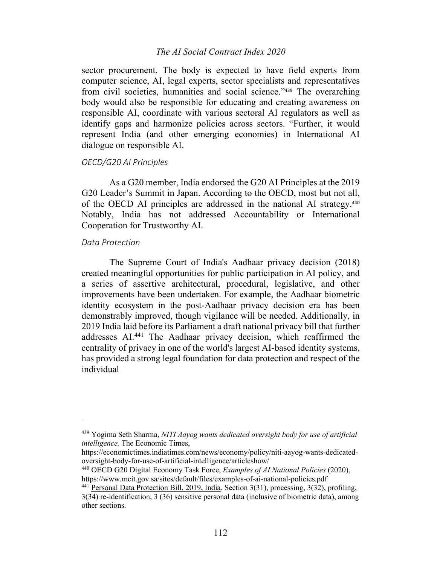# *The AI Social Contract Index 2020*

sector procurement. The body is expected to have field experts from computer science, AI, legal experts, sector specialists and representatives from civil societies, humanities and social science."<sup>439</sup> The overarching body would also be responsible for educating and creating awareness on responsible AI, coordinate with various sectoral AI regulators as well as identify gaps and harmonize policies across sectors. "Further, it would represent India (and other emerging economies) in International AI dialogue on responsible AI.

# *OECD/G20 AI Principles*

As a G20 member, India endorsed the G20 AI Principles at the 2019 G20 Leader's Summit in Japan. According to the OECD, most but not all, of the OECD AI principles are addressed in the national AI strategy.<sup>440</sup> Notably, India has not addressed Accountability or International Cooperation for Trustworthy AI.

### *Data Protection*

The Supreme Court of India's Aadhaar privacy decision (2018) created meaningful opportunities for public participation in AI policy, and a series of assertive architectural, procedural, legislative, and other improvements have been undertaken. For example, the Aadhaar biometric identity ecosystem in the post-Aadhaar privacy decision era has been demonstrably improved, though vigilance will be needed. Additionally, in 2019 India laid before its Parliament a draft national privacy bill that further addresses AI.441 The Aadhaar privacy decision, which reaffirmed the centrality of privacy in one of the world's largest AI-based identity systems, has provided a strong legal foundation for data protection and respect of the individual

<sup>439</sup> Yogima Seth Sharma, *NITI Aayog wants dedicated oversight body for use of artificial intelligence,* The Economic Times,

https://economictimes.indiatimes.com/news/economy/policy/niti-aayog-wants-dedicatedoversight-body-for-use-of-artificial-intelligence/articleshow/

<sup>440</sup> OECD G20 Digital Economy Task Force, *Examples of AI National Policies* (2020), https://www.mcit.gov.sa/sites/default/files/examples-of-ai-national-policies.pdf

<sup>&</sup>lt;sup>441</sup> Personal Data Protection Bill, 2019, India. Section 3(31), processing, 3(32), profiling, 3(34) re-identification, 3 (36) sensitive personal data (inclusive of biometric data), among other sections.